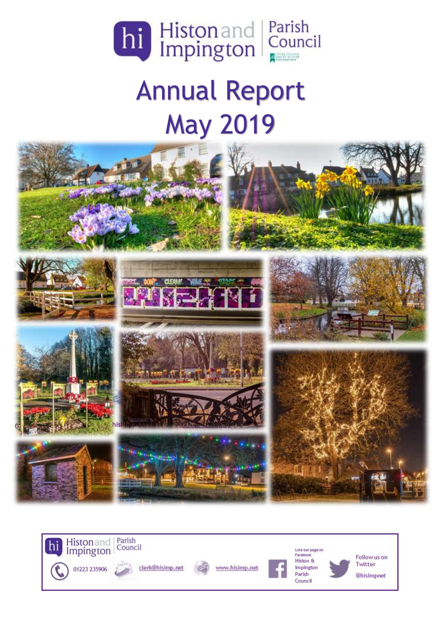

# Annual Report May 2019



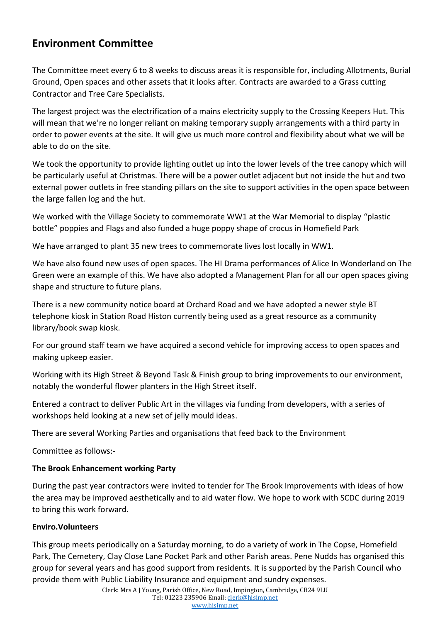## **Environment Committee**

The Committee meet every 6 to 8 weeks to discuss areas it is responsible for, including Allotments, Burial Ground, Open spaces and other assets that it looks after. Contracts are awarded to a Grass cutting Contractor and Tree Care Specialists.

The largest project was the electrification of a mains electricity supply to the Crossing Keepers Hut. This will mean that we're no longer reliant on making temporary supply arrangements with a third party in order to power events at the site. It will give us much more control and flexibility about what we will be able to do on the site.

We took the opportunity to provide lighting outlet up into the lower levels of the tree canopy which will be particularly useful at Christmas. There will be a power outlet adjacent but not inside the hut and two external power outlets in free standing pillars on the site to support activities in the open space between the large fallen log and the hut.

We worked with the Village Society to commemorate WW1 at the War Memorial to display "plastic bottle" poppies and Flags and also funded a huge poppy shape of crocus in Homefield Park

We have arranged to plant 35 new trees to commemorate lives lost locally in WW1.

We have also found new uses of open spaces. The HI Drama performances of Alice In Wonderland on The Green were an example of this. We have also adopted a Management Plan for all our open spaces giving shape and structure to future plans.

There is a new community notice board at Orchard Road and we have adopted a newer style BT telephone kiosk in Station Road Histon currently being used as a great resource as a community library/book swap kiosk.

For our ground staff team we have acquired a second vehicle for improving access to open spaces and making upkeep easier.

Working with its High Street & Beyond Task & Finish group to bring improvements to our environment, notably the wonderful flower planters in the High Street itself.

Entered a contract to deliver Public Art in the villages via funding from developers, with a series of workshops held looking at a new set of jelly mould ideas.

There are several Working Parties and organisations that feed back to the Environment

Committee as follows:-

### **The Brook Enhancement working Party**

During the past year contractors were invited to tender for The Brook Improvements with ideas of how the area may be improved aesthetically and to aid water flow. We hope to work with SCDC during 2019 to bring this work forward.

#### **Enviro.Volunteers**

This group meets periodically on a Saturday morning, to do a variety of work in The Copse, Homefield Park, The Cemetery, Clay Close Lane Pocket Park and other Parish areas. Pene Nudds has organised this group for several years and has good support from residents. It is supported by the Parish Council who provide them with Public Liability Insurance and equipment and sundry expenses.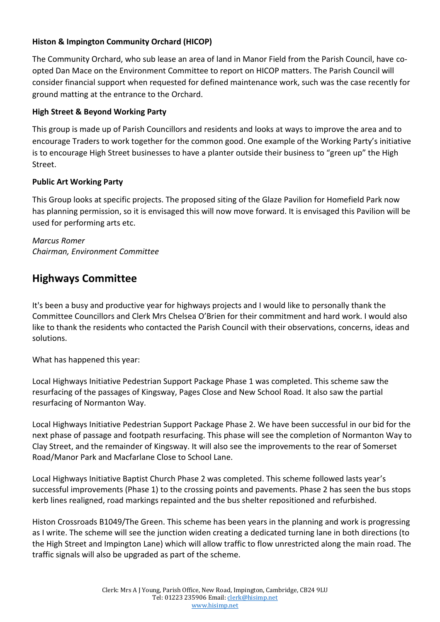## **Histon & Impington Community Orchard (HICOP)**

The Community Orchard, who sub lease an area of land in Manor Field from the Parish Council, have coopted Dan Mace on the Environment Committee to report on HICOP matters. The Parish Council will consider financial support when requested for defined maintenance work, such was the case recently for ground matting at the entrance to the Orchard.

## **High Street & Beyond Working Party**

This group is made up of Parish Councillors and residents and looks at ways to improve the area and to encourage Traders to work together for the common good. One example of the Working Party's initiative is to encourage High Street businesses to have a planter outside their business to "green up" the High Street.

### **Public Art Working Party**

This Group looks at specific projects. The proposed siting of the Glaze Pavilion for Homefield Park now has planning permission, so it is envisaged this will now move forward. It is envisaged this Pavilion will be used for performing arts etc.

*Marcus Romer Chairman, Environment Committee*

# **Highways Committee**

It's been a busy and productive year for highways projects and I would like to personally thank the Committee Councillors and Clerk Mrs Chelsea O'Brien for their commitment and hard work. I would also like to thank the residents who contacted the Parish Council with their observations, concerns, ideas and solutions.

What has happened this year:

Local Highways Initiative Pedestrian Support Package Phase 1 was completed. This scheme saw the resurfacing of the passages of Kingsway, Pages Close and New School Road. It also saw the partial resurfacing of Normanton Way.

Local Highways Initiative Pedestrian Support Package Phase 2. We have been successful in our bid for the next phase of passage and footpath resurfacing. This phase will see the completion of Normanton Way to Clay Street, and the remainder of Kingsway. It will also see the improvements to the rear of Somerset Road/Manor Park and Macfarlane Close to School Lane.

Local Highways Initiative Baptist Church Phase 2 was completed. This scheme followed lasts year's successful improvements (Phase 1) to the crossing points and pavements. Phase 2 has seen the bus stops kerb lines realigned, road markings repainted and the bus shelter repositioned and refurbished.

Histon Crossroads B1049/The Green. This scheme has been years in the planning and work is progressing as I write. The scheme will see the junction widen creating a dedicated turning lane in both directions (to the High Street and Impington Lane) which will allow traffic to flow unrestricted along the main road. The traffic signals will also be upgraded as part of the scheme.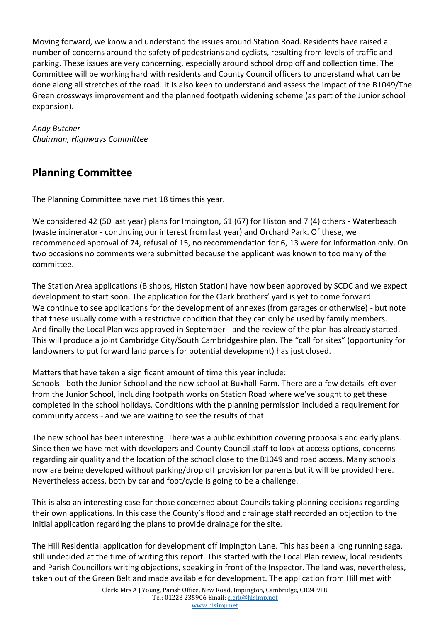Moving forward, we know and understand the issues around Station Road. Residents have raised a number of concerns around the safety of pedestrians and cyclists, resulting from levels of traffic and parking. These issues are very concerning, especially around school drop off and collection time. The Committee will be working hard with residents and County Council officers to understand what can be done along all stretches of the road. It is also keen to understand and assess the impact of the B1049/The Green crossways improvement and the planned footpath widening scheme (as part of the Junior school expansion).

*Andy Butcher Chairman, Highways Committee* 

# **Planning Committee**

The Planning Committee have met 18 times this year.

We considered 42 (50 last year} plans for Impington, 61 (67) for Histon and 7 (4) others - Waterbeach (waste incinerator - continuing our interest from last year) and Orchard Park. Of these, we recommended approval of 74, refusal of 15, no recommendation for 6, 13 were for information only. On two occasions no comments were submitted because the applicant was known to too many of the committee.

The Station Area applications (Bishops, Histon Station) have now been approved by SCDC and we expect development to start soon. The application for the Clark brothers' yard is yet to come forward. We continue to see applications for the development of annexes (from garages or otherwise) - but note that these usually come with a restrictive condition that they can only be used by family members. And finally the Local Plan was approved in September - and the review of the plan has already started. This will produce a joint Cambridge City/South Cambridgeshire plan. The "call for sites" (opportunity for landowners to put forward land parcels for potential development) has just closed.

Matters that have taken a significant amount of time this year include:

Schools - both the Junior School and the new school at Buxhall Farm. There are a few details left over from the Junior School, including footpath works on Station Road where we've sought to get these completed in the school holidays. Conditions with the planning permission included a requirement for community access - and we are waiting to see the results of that.

The new school has been interesting. There was a public exhibition covering proposals and early plans. Since then we have met with developers and County Council staff to look at access options, concerns regarding air quality and the location of the school close to the B1049 and road access. Many schools now are being developed without parking/drop off provision for parents but it will be provided here. Nevertheless access, both by car and foot/cycle is going to be a challenge.

This is also an interesting case for those concerned about Councils taking planning decisions regarding their own applications. In this case the County's flood and drainage staff recorded an objection to the initial application regarding the plans to provide drainage for the site.

The Hill Residential application for development off Impington Lane. This has been a long running saga, still undecided at the time of writing this report. This started with the Local Plan review, local residents and Parish Councillors writing objections, speaking in front of the Inspector. The land was, nevertheless, taken out of the Green Belt and made available for development. The application from Hill met with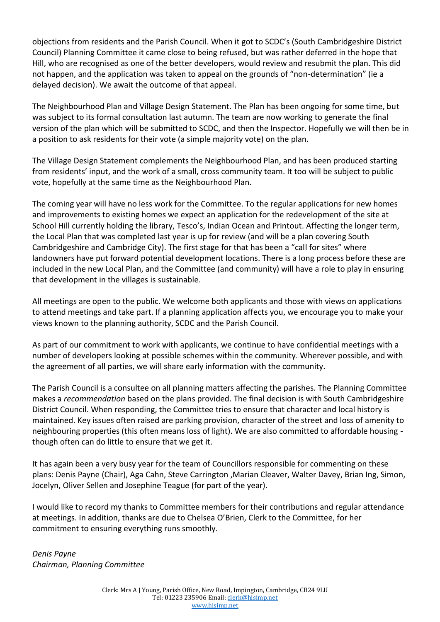objections from residents and the Parish Council. When it got to SCDC's (South Cambridgeshire District Council) Planning Committee it came close to being refused, but was rather deferred in the hope that Hill, who are recognised as one of the better developers, would review and resubmit the plan. This did not happen, and the application was taken to appeal on the grounds of "non-determination" (ie a delayed decision). We await the outcome of that appeal.

The Neighbourhood Plan and Village Design Statement. The Plan has been ongoing for some time, but was subject to its formal consultation last autumn. The team are now working to generate the final version of the plan which will be submitted to SCDC, and then the Inspector. Hopefully we will then be in a position to ask residents for their vote (a simple majority vote) on the plan.

The Village Design Statement complements the Neighbourhood Plan, and has been produced starting from residents' input, and the work of a small, cross community team. It too will be subject to public vote, hopefully at the same time as the Neighbourhood Plan.

The coming year will have no less work for the Committee. To the regular applications for new homes and improvements to existing homes we expect an application for the redevelopment of the site at School Hill currently holding the library, Tesco's, Indian Ocean and Printout. Affecting the longer term, the Local Plan that was completed last year is up for review (and will be a plan covering South Cambridgeshire and Cambridge City). The first stage for that has been a "call for sites" where landowners have put forward potential development locations. There is a long process before these are included in the new Local Plan, and the Committee (and community) will have a role to play in ensuring that development in the villages is sustainable.

All meetings are open to the public. We welcome both applicants and those with views on applications to attend meetings and take part. If a planning application affects you, we encourage you to make your views known to the planning authority, SCDC and the Parish Council.

As part of our commitment to work with applicants, we continue to have confidential meetings with a number of developers looking at possible schemes within the community. Wherever possible, and with the agreement of all parties, we will share early information with the community.

The Parish Council is a consultee on all planning matters affecting the parishes. The Planning Committee makes a *recommendation* based on the plans provided. The final decision is with South Cambridgeshire District Council. When responding, the Committee tries to ensure that character and local history is maintained. Key issues often raised are parking provision, character of the street and loss of amenity to neighbouring properties (this often means loss of light). We are also committed to affordable housing though often can do little to ensure that we get it.

It has again been a very busy year for the team of Councillors responsible for commenting on these plans: Denis Payne (Chair), Aga Cahn, Steve Carrington ,Marian Cleaver, Walter Davey, Brian Ing, Simon, Jocelyn, Oliver Sellen and Josephine Teague (for part of the year).

I would like to record my thanks to Committee members for their contributions and regular attendance at meetings. In addition, thanks are due to Chelsea O'Brien, Clerk to the Committee, for her commitment to ensuring everything runs smoothly.

*Denis Payne Chairman, Planning Committee*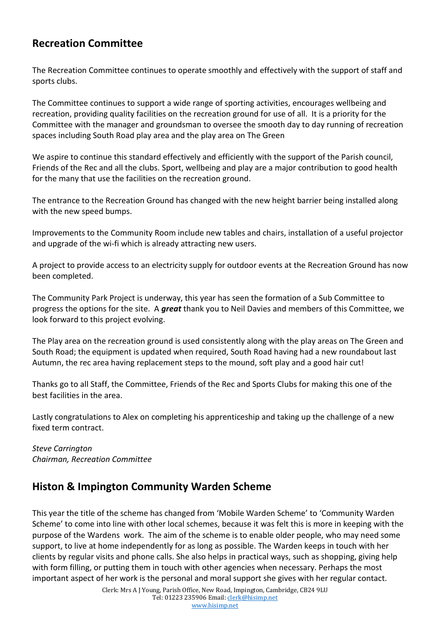## **Recreation Committee**

The Recreation Committee continues to operate smoothly and effectively with the support of staff and sports clubs.

The Committee continues to support a wide range of sporting activities, encourages wellbeing and recreation, providing quality facilities on the recreation ground for use of all. It is a priority for the Committee with the manager and groundsman to oversee the smooth day to day running of recreation spaces including South Road play area and the play area on The Green

We aspire to continue this standard effectively and efficiently with the support of the Parish council, Friends of the Rec and all the clubs. Sport, wellbeing and play are a major contribution to good health for the many that use the facilities on the recreation ground.

The entrance to the Recreation Ground has changed with the new height barrier being installed along with the new speed bumps.

Improvements to the Community Room include new tables and chairs, installation of a useful projector and upgrade of the wi-fi which is already attracting new users.

A project to provide access to an electricity supply for outdoor events at the Recreation Ground has now been completed.

The Community Park Project is underway, this year has seen the formation of a Sub Committee to progress the options for the site. A *great* thank you to Neil Davies and members of this Committee, we look forward to this project evolving.

The Play area on the recreation ground is used consistently along with the play areas on The Green and South Road; the equipment is updated when required, South Road having had a new roundabout last Autumn, the rec area having replacement steps to the mound, soft play and a good hair cut!

Thanks go to all Staff, the Committee, Friends of the Rec and Sports Clubs for making this one of the best facilities in the area.

Lastly congratulations to Alex on completing his apprenticeship and taking up the challenge of a new fixed term contract.

*Steve Carrington Chairman, Recreation Committee*

## **Histon & Impington Community Warden Scheme**

This year the title of the scheme has changed from 'Mobile Warden Scheme' to 'Community Warden Scheme' to come into line with other local schemes, because it was felt this is more in keeping with the purpose of the Wardens work. The aim of the scheme is to enable older people, who may need some support, to live at home independently for as long as possible. The Warden keeps in touch with her clients by regular visits and phone calls. She also helps in practical ways, such as shopping, giving help with form filling, or putting them in touch with other agencies when necessary. Perhaps the most important aspect of her work is the personal and moral support she gives with her regular contact.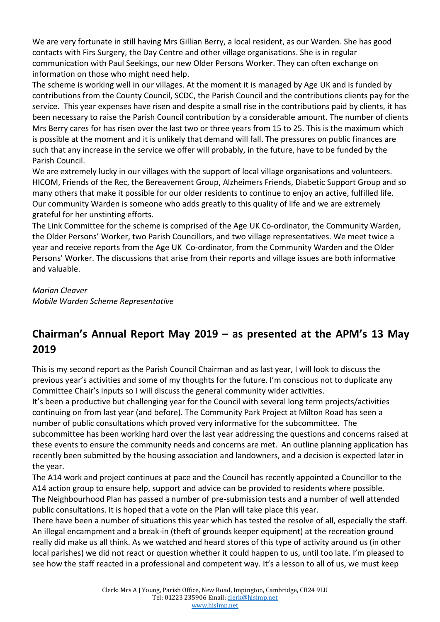We are very fortunate in still having Mrs Gillian Berry, a local resident, as our Warden. She has good contacts with Firs Surgery, the Day Centre and other village organisations. She is in regular communication with Paul Seekings, our new Older Persons Worker. They can often exchange on information on those who might need help.

The scheme is working well in our villages. At the moment it is managed by Age UK and is funded by contributions from the County Council, SCDC, the Parish Council and the contributions clients pay for the service. This year expenses have risen and despite a small rise in the contributions paid by clients, it has been necessary to raise the Parish Council contribution by a considerable amount. The number of clients Mrs Berry cares for has risen over the last two or three years from 15 to 25. This is the maximum which is possible at the moment and it is unlikely that demand will fall. The pressures on public finances are such that any increase in the service we offer will probably, in the future, have to be funded by the Parish Council.

We are extremely lucky in our villages with the support of local village organisations and volunteers. HICOM, Friends of the Rec, the Bereavement Group, Alzheimers Friends, Diabetic Support Group and so many others that make it possible for our older residents to continue to enjoy an active, fulfilled life. Our community Warden is someone who adds greatly to this quality of life and we are extremely grateful for her unstinting efforts.

The Link Committee for the scheme is comprised of the Age UK Co-ordinator, the Community Warden, the Older Persons' Worker, two Parish Councillors, and two village representatives. We meet twice a year and receive reports from the Age UK Co-ordinator, from the Community Warden and the Older Persons' Worker. The discussions that arise from their reports and village issues are both informative and valuable.

## *Marian Cleaver*

*Mobile Warden Scheme Representative*

# **Chairman's Annual Report May 2019 – as presented at the APM's 13 May 2019**

This is my second report as the Parish Council Chairman and as last year, I will look to discuss the previous year's activities and some of my thoughts for the future. I'm conscious not to duplicate any Committee Chair's inputs so I will discuss the general community wider activities.

It's been a productive but challenging year for the Council with several long term projects/activities continuing on from last year (and before). The Community Park Project at Milton Road has seen a number of public consultations which proved very informative for the subcommittee. The subcommittee has been working hard over the last year addressing the questions and concerns raised at these events to ensure the community needs and concerns are met. An outline planning application has recently been submitted by the housing association and landowners, and a decision is expected later in the year.

The A14 work and project continues at pace and the Council has recently appointed a Councillor to the A14 action group to ensure help, support and advice can be provided to residents where possible. The Neighbourhood Plan has passed a number of pre-submission tests and a number of well attended public consultations. It is hoped that a vote on the Plan will take place this year.

There have been a number of situations this year which has tested the resolve of all, especially the staff. An illegal encampment and a break-in (theft of grounds keeper equipment) at the recreation ground really did make us all think. As we watched and heard stores of this type of activity around us (in other local parishes) we did not react or question whether it could happen to us, until too late. I'm pleased to see how the staff reacted in a professional and competent way. It's a lesson to all of us, we must keep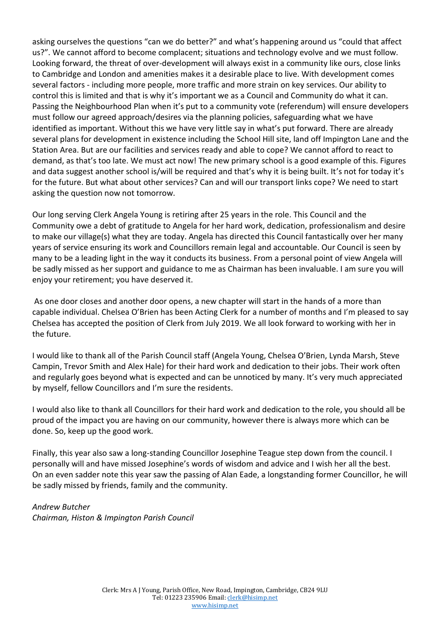asking ourselves the questions "can we do better?" and what's happening around us "could that affect us?". We cannot afford to become complacent; situations and technology evolve and we must follow. Looking forward, the threat of over-development will always exist in a community like ours, close links to Cambridge and London and amenities makes it a desirable place to live. With development comes several factors - including more people, more traffic and more strain on key services. Our ability to control this is limited and that is why it's important we as a Council and Community do what it can. Passing the Neighbourhood Plan when it's put to a community vote (referendum) will ensure developers must follow our agreed approach/desires via the planning policies, safeguarding what we have identified as important. Without this we have very little say in what's put forward. There are already several plans for development in existence including the School Hill site, land off Impington Lane and the Station Area. But are our facilities and services ready and able to cope? We cannot afford to react to demand, as that's too late. We must act now! The new primary school is a good example of this. Figures and data suggest another school is/will be required and that's why it is being built. It's not for today it's for the future. But what about other services? Can and will our transport links cope? We need to start asking the question now not tomorrow.

Our long serving Clerk Angela Young is retiring after 25 years in the role. This Council and the Community owe a debt of gratitude to Angela for her hard work, dedication, professionalism and desire to make our village(s) what they are today. Angela has directed this Council fantastically over her many years of service ensuring its work and Councillors remain legal and accountable. Our Council is seen by many to be a leading light in the way it conducts its business. From a personal point of view Angela will be sadly missed as her support and guidance to me as Chairman has been invaluable. I am sure you will enjoy your retirement; you have deserved it.

As one door closes and another door opens, a new chapter will start in the hands of a more than capable individual. Chelsea O'Brien has been Acting Clerk for a number of months and I'm pleased to say Chelsea has accepted the position of Clerk from July 2019. We all look forward to working with her in the future.

I would like to thank all of the Parish Council staff (Angela Young, Chelsea O'Brien, Lynda Marsh, Steve Campin, Trevor Smith and Alex Hale) for their hard work and dedication to their jobs. Their work often and regularly goes beyond what is expected and can be unnoticed by many. It's very much appreciated by myself, fellow Councillors and I'm sure the residents.

I would also like to thank all Councillors for their hard work and dedication to the role, you should all be proud of the impact you are having on our community, however there is always more which can be done. So, keep up the good work.

Finally, this year also saw a long-standing Councillor Josephine Teague step down from the council. I personally will and have missed Josephine's words of wisdom and advice and I wish her all the best. On an even sadder note this year saw the passing of Alan Eade, a longstanding former Councillor, he will be sadly missed by friends, family and the community.

#### *Andrew Butcher*

*Chairman, Histon & Impington Parish Council*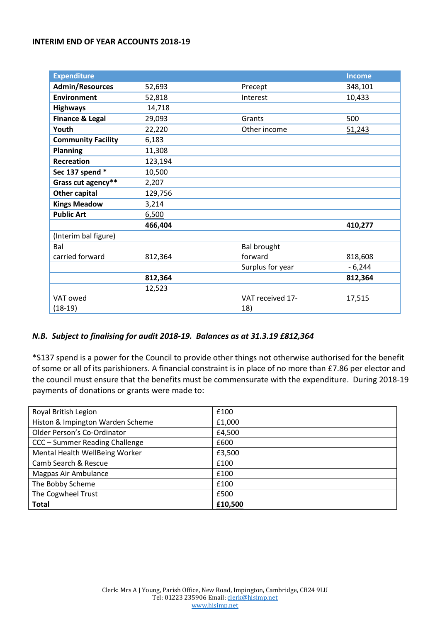#### **INTERIM END OF YEAR ACCOUNTS 2018-19**

| <b>Expenditure</b>         |         |                    | <b>Income</b> |
|----------------------------|---------|--------------------|---------------|
| <b>Admin/Resources</b>     | 52,693  | Precept            | 348,101       |
| <b>Environment</b>         | 52,818  | Interest           | 10,433        |
| <b>Highways</b>            | 14,718  |                    |               |
| <b>Finance &amp; Legal</b> | 29,093  | Grants             | 500           |
| Youth                      | 22,220  | Other income       | 51,243        |
| <b>Community Facility</b>  | 6,183   |                    |               |
| <b>Planning</b>            | 11,308  |                    |               |
| <b>Recreation</b>          | 123,194 |                    |               |
| Sec 137 spend *            | 10,500  |                    |               |
| Grass cut agency**         | 2,207   |                    |               |
| <b>Other capital</b>       | 129,756 |                    |               |
| <b>Kings Meadow</b>        | 3,214   |                    |               |
| <b>Public Art</b>          | 6,500   |                    |               |
|                            | 466,404 |                    | 410,277       |
| (Interim bal figure)       |         |                    |               |
| Bal                        |         | <b>Bal brought</b> |               |
| carried forward            | 812,364 | forward            | 818,608       |
|                            |         | Surplus for year   | $-6,244$      |
|                            | 812,364 |                    | 812,364       |
|                            | 12,523  |                    |               |
| VAT owed                   |         | VAT received 17-   | 17,515        |
| $(18-19)$                  |         | 18)                |               |

#### *N.B. Subject to finalising for audit 2018-19. Balances as at 31.3.19 £812,364*

\*S137 spend is a power for the Council to provide other things not otherwise authorised for the benefit of some or all of its parishioners. A financial constraint is in place of no more than £7.86 per elector and the council must ensure that the benefits must be commensurate with the expenditure. During 2018-19 payments of donations or grants were made to:

| Royal British Legion             | £100    |
|----------------------------------|---------|
| Histon & Impington Warden Scheme | £1,000  |
| Older Person's Co-Ordinator      | £4,500  |
| CCC - Summer Reading Challenge   | £600    |
| Mental Health WellBeing Worker   | £3,500  |
| Camb Search & Rescue             | £100    |
| Magpas Air Ambulance             | £100    |
| The Bobby Scheme                 | £100    |
| The Cogwheel Trust               | £500    |
| <b>Total</b>                     | £10,500 |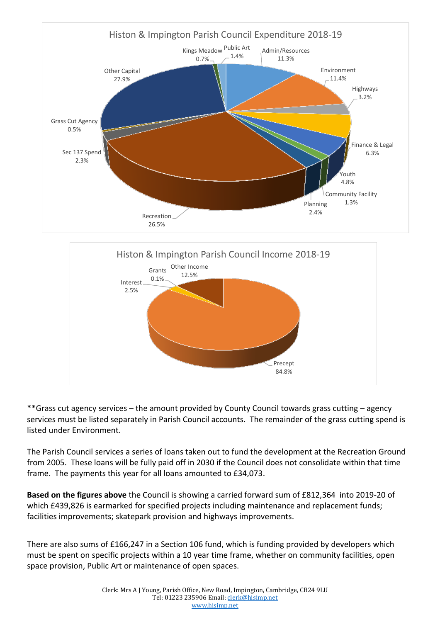



\*\*Grass cut agency services – the amount provided by County Council towards grass cutting – agency services must be listed separately in Parish Council accounts. The remainder of the grass cutting spend is listed under Environment.

The Parish Council services a series of loans taken out to fund the development at the Recreation Ground from 2005. These loans will be fully paid off in 2030 if the Council does not consolidate within that time frame. The payments this year for all loans amounted to £34,073.

**Based on the figures above** the Council is showing a carried forward sum of £812,364 into 2019-20 of which £439,826 is earmarked for specified projects including maintenance and replacement funds; facilities improvements; skatepark provision and highways improvements.

There are also sums of £166,247 in a Section 106 fund, which is funding provided by developers which must be spent on specific projects within a 10 year time frame, whether on community facilities, open space provision, Public Art or maintenance of open spaces.